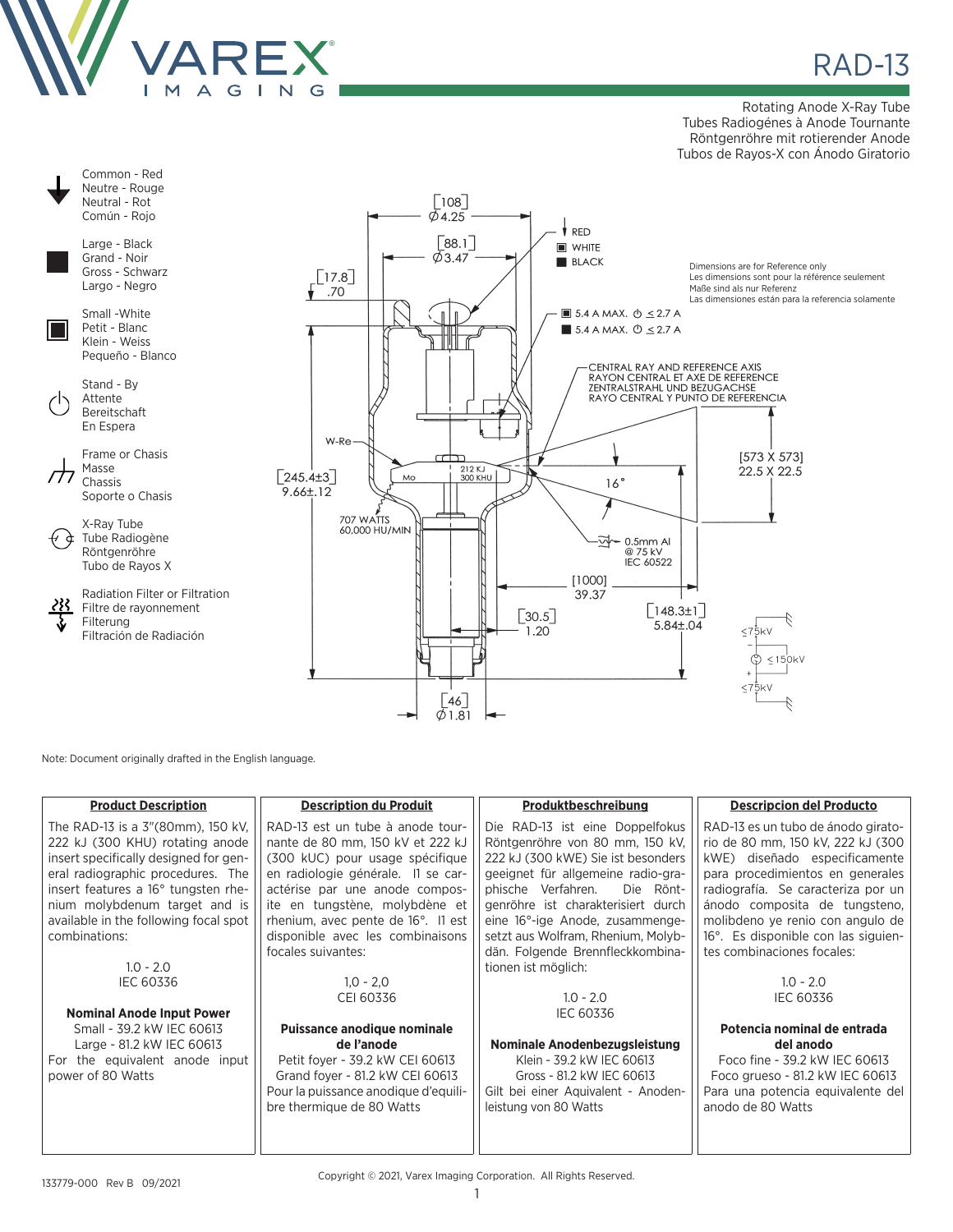

Rotating Anode X-Ray Tube Tubes Radiogénes à Anode Tournante Röntgenröhre mit rotierender Anode Tubos de Rayos-X con Ánodo Giratorio



Note: Document originally drafted in the English language.

| <b>Product Description</b>            | <b>Description du Produit</b>        | Produktbeschreibung                 | <b>Descripcion del Producto</b>     |
|---------------------------------------|--------------------------------------|-------------------------------------|-------------------------------------|
| The RAD-13 is a 3"(80mm), 150 kV,     | RAD-13 est un tube à anode tour-     | Die RAD-13 ist eine Doppelfokus     | RAD-13 es un tubo de ánodo girato-  |
| 222 kJ (300 KHU) rotating anode       | nante de 80 mm, 150 kV et 222 kJ     | Röntgenröhre von 80 mm, 150 kV,     | rio de 80 mm, 150 kV, 222 kJ (300   |
| insert specifically designed for gen- | (300 kUC) pour usage spécifique      | 222 kJ (300 kWE) Sie ist besonders  | kWE) diseñado especificamente       |
| eral radiographic procedures. The     | en radiologie générale. Il se car-   | geeignet für allgemeine radio-gra-  | para procedimientos en generales    |
| insert features a 16° tungsten rhe-   | actérise par une anode compos-       | Die Rönt-<br>phische Verfahren.     | radiografía. Se caracteriza por un  |
| nium molybdenum target and is         | ite en tungstène, molybdène et       | genröhre ist charakterisiert durch  | ánodo composita de tungsteno,       |
| available in the following focal spot | rhenium, avec pente de 16°. Il est   | eine 16°-ige Anode, zusammenge-     | molibdeno ye renio con angulo de    |
| combinations:                         | disponible avec les combinaisons     | setzt aus Wolfram, Rhenium, Molyb-  | 16°. Es disponible con las siguien- |
|                                       | focales suivantes:                   | dän. Folgende Brennfleckkombina-    | tes combinaciones focales:          |
| $1.0 - 2.0$                           |                                      | tionen ist möglich:                 |                                     |
| <b>IEC 60336</b>                      | $1,0 - 2,0$                          |                                     | $1.0 - 2.0$                         |
|                                       | CEI 60336                            | $1.0 - 2.0$                         | <b>IEC 60336</b>                    |
| <b>Nominal Anode Input Power</b>      |                                      | <b>IEC 60336</b>                    |                                     |
| Small - 39.2 kW IEC 60613             | Puissance anodique nominale          |                                     | Potencia nominal de entrada         |
| Large - 81.2 kW IEC 60613             | de l'anode                           | Nominale Anodenbezugsleistung       | del anodo                           |
| For the equivalent anode input        | Petit foyer - 39.2 kW CEI 60613      | Klein - 39.2 kW IEC 60613           | Foco fine - 39.2 kW IEC 60613       |
| power of 80 Watts                     | Grand foyer - 81.2 kW CEI 60613      | Gross - 81.2 kW IEC 60613           | Foco grueso - 81.2 kW IEC 60613     |
|                                       | Pour la puissance anodique d'equili- | Gilt bei einer Aquivalent - Anoden- | Para una potencia equivalente del   |
|                                       | bre thermique de 80 Watts            | leistung von 80 Watts               | anodo de 80 Watts                   |
|                                       |                                      |                                     |                                     |
|                                       |                                      |                                     |                                     |

Copyright © 2021, Varex Imaging Corporation. All Rights Reserved.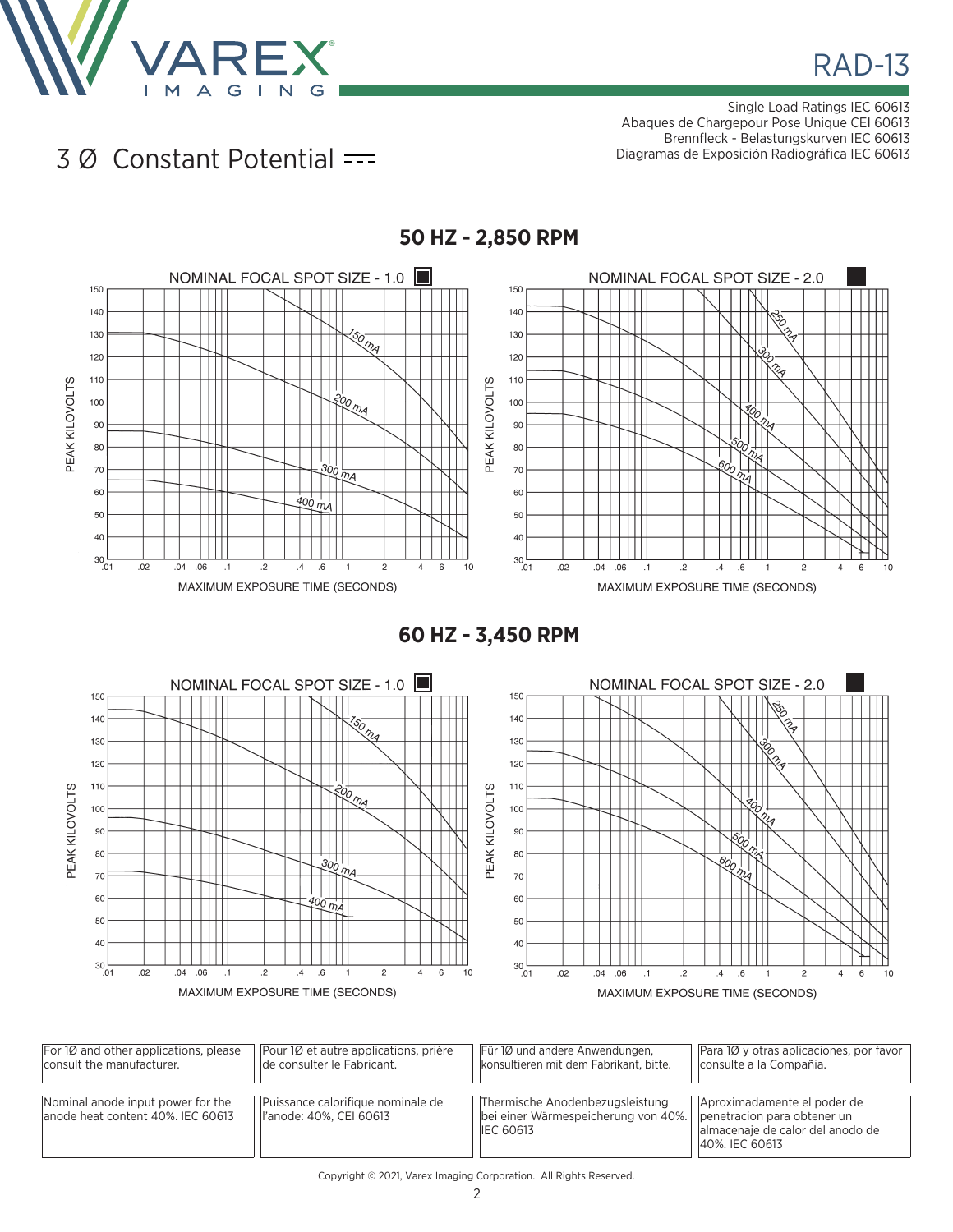

Single Load Ratings IEC 60613 Abaques de Chargepour Pose Unique CEI 60613 Brennfleck - Belastungskurven IEC 60613 Diagramas de Exposición Radiográfica IEC 60613

## 3 Ø Constant Potential



**60 HZ - 3,450 RPM**



| For $1\varnothing$ and other applications, please                       | Pour 10 et autre applications, prière                        | Für 10 und andere Anwendungen,                                                             | Para 10 y otras aplicaciones, por favor                                                                          |
|-------------------------------------------------------------------------|--------------------------------------------------------------|--------------------------------------------------------------------------------------------|------------------------------------------------------------------------------------------------------------------|
| consult the manufacturer.                                               | de consulter le Fabricant.                                   | konsultieren mit dem Fabrikant, bitte.                                                     | consulte a la Compañia.                                                                                          |
| Nominal anode input power for the<br>lanode heat content 40%. IEC 60613 | Puissance calorifique nominale de<br>l'anode: 40%, CEI 60613 | Thermische Anodenbezugsleistung<br>bei einer Wärmespeicherung von 40%.<br><b>IEC 60613</b> | Aproximadamente el poder de<br>penetracion para obtener un<br>almacenaje de calor del anodo de<br>40%, IEC 60613 |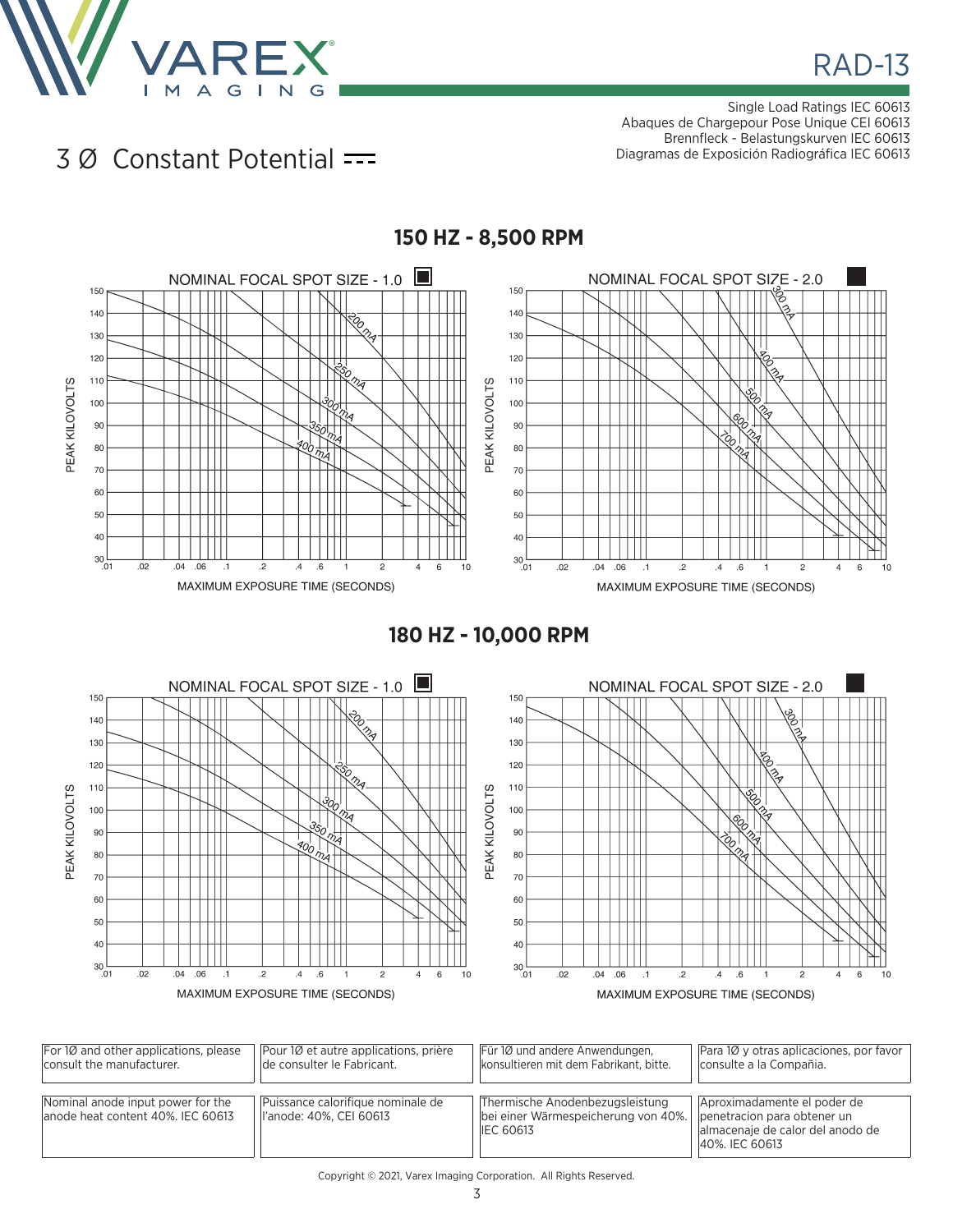

Single Load Ratings IEC 60613 Abaques de Chargepour Pose Unique CEI 60613 Brennfleck - Belastungskurven IEC 60613 Diagramas de Exposición Radiográfica IEC 60613

## 3 Ø Constant Potential



**180 HZ - 10,000 RPM**



| For $1\varnothing$ and other applications, please                      | Pour 10 et autre applications, prière                         | Für 10 und andere Anwendungen,                                                             | Para 10 y otras aplicaciones, por favor                                                                          |
|------------------------------------------------------------------------|---------------------------------------------------------------|--------------------------------------------------------------------------------------------|------------------------------------------------------------------------------------------------------------------|
| consult the manufacturer.                                              | de consulter le Fabricant.                                    | konsultieren mit dem Fabrikant, bitte.                                                     | consulte a la Compañia.                                                                                          |
| Nominal anode input power for the<br>anode heat content 40%. IEC 60613 | Puissance calorifique nominale de<br>ll'anode: 40%. CEI 60613 | Thermische Anodenbezugsleistung<br>bei einer Wärmespeicherung von 40%.<br><b>IEC 60613</b> | Aproximadamente el poder de<br>penetracion para obtener un<br>almacenaje de calor del anodo de<br>40%, IEC 60613 |

## Copyright © 2021, Varex Imaging Corporation. All Rights Reserved.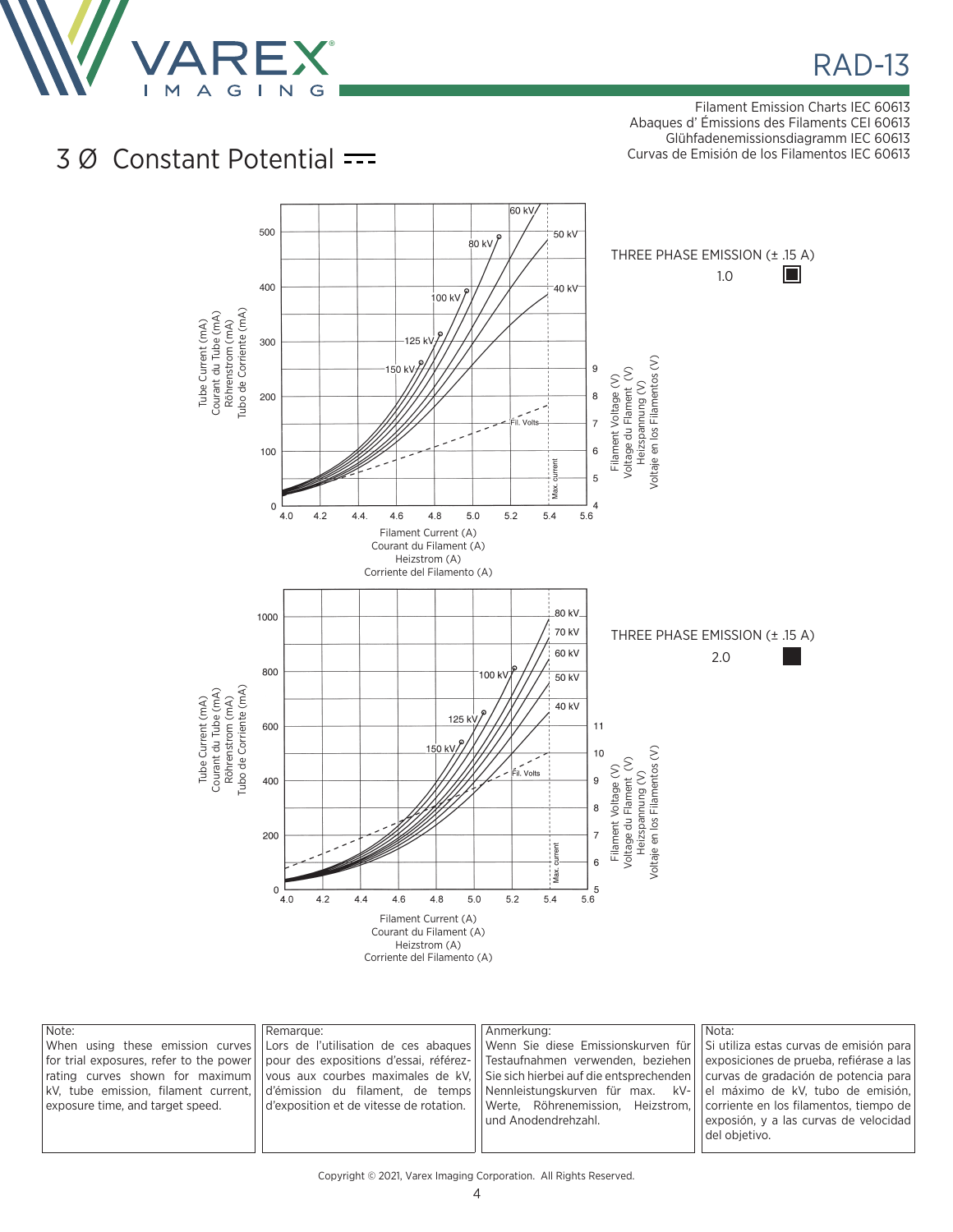

Filament Emission Charts IEC 60613 Abaques d' Émissions des Filaments CEI 60613 Glühfadenemissionsdiagramm IEC 60613 Curvas de Emisión de los Filamentos IEC 60613

## 3 Ø Constant Potential



| Note:                            | Remarque: | Anmerkung:<br> When using these emission curves  Lors de l'utilisation de ces abagues  Wenn Sie diese Emissionskurven für  Si-utiliza-estas-curvas-de-emisión-para<br>for trial exposures, refer to the power    pour des expositions d'essai, référez-   Testaufnahmen verwenden, beziehen    exposiciones de prueba, refiérase a las<br>rating curves shown for maximum vous aux courbes maximales de kV. Sie sich hierbei auf die entsprechenden curvas de gradación de potencia para<br> kV, tube emission, filament current,  d'émission du filament, de temps  Nennleistungskurven für max. kV- | Nota:<br>el máximo de kV, tubo de emisión,                                                       |
|----------------------------------|-----------|-------------------------------------------------------------------------------------------------------------------------------------------------------------------------------------------------------------------------------------------------------------------------------------------------------------------------------------------------------------------------------------------------------------------------------------------------------------------------------------------------------------------------------------------------------------------------------------------------------|--------------------------------------------------------------------------------------------------|
| exposure time, and target speed. |           | $\alpha$ d'exposition et de vitesse de rotation. $\alpha$ Werte, Röhrenemission, Heizstrom,<br>l und Anodendrehzahl.                                                                                                                                                                                                                                                                                                                                                                                                                                                                                  | corriente en los filamentos, tiempo de<br>exposión, y a las curvas de velocidad<br>del obietivo. |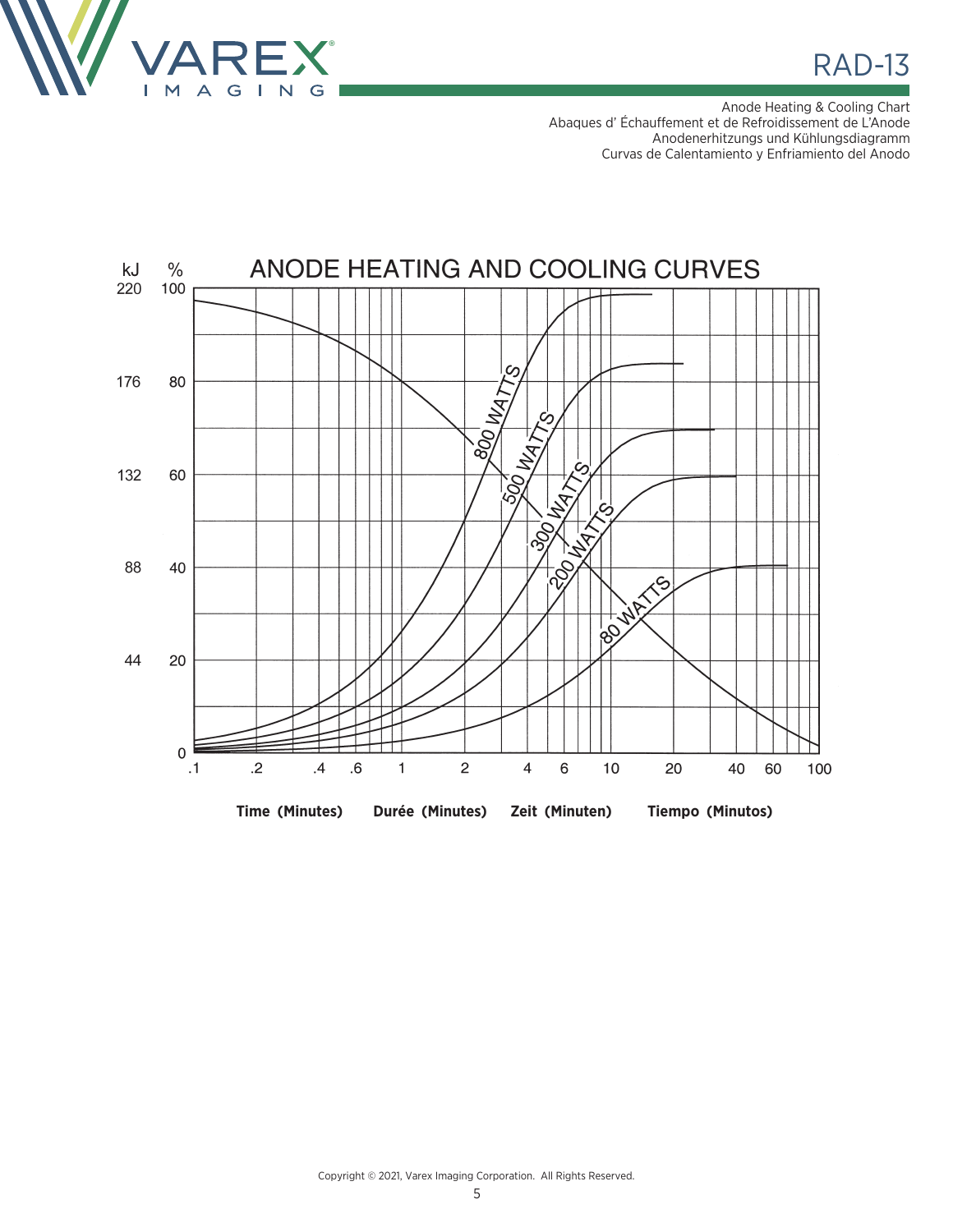

RAD-13

Anode Heating & Cooling Chart Abaques d' Échauffement et de Refroidissement de L'Anode Anodenerhitzungs und Kühlungsdiagramm Curvas de Calentamiento y Enfriamiento del Anodo



Copyright © 2021, Varex Imaging Corporation. All Rights Reserved.